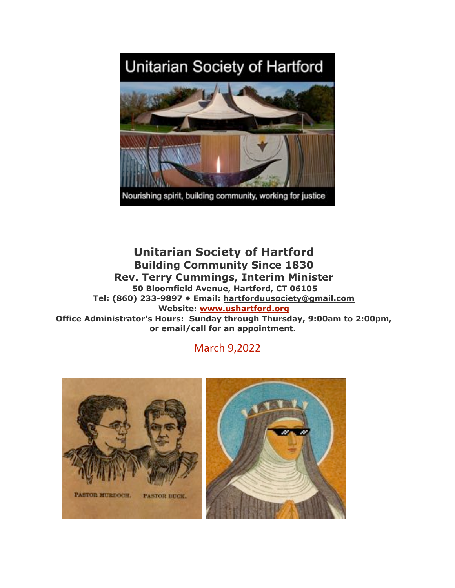# Unitarian Society of Hartford



**Unitarian Society of Hartford Building Community Since 1830 Rev. Terry Cummings, Interim Minister 50 Bloomfield Avenue, Hartford, CT 06105 Tel: (860) 233-9897 • Email: hartforduusociety@gmail.com Website: www.ushartford.org Office Administrator's Hours: Sunday through Thursday, 9:00am to 2:00pm, or email/call for an appointment.**

## March 9,2022

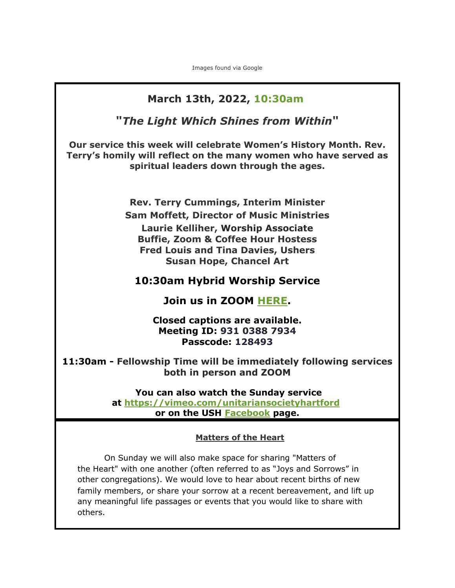Images found via Google

# **March 13th, 2022, 10:30am "***The Light Which Shines from Within***" Our service this week will celebrate Women's History Month. Rev. Terry's homily will reflect on the many women who have served as spiritual leaders down through the ages. Rev. Terry Cummings, Interim Minister Sam Moffett, Director of Music Ministries Laurie Kelliher, Worship Associate Buffie, Zoom & Coffee Hour Hostess Fred Louis and Tina Davies, Ushers Susan Hope, Chancel Art 10:30am Hybrid Worship Service Join us in ZOOM HERE. Closed captions are available. Meeting ID: 931 0388 7934 Passcode: 128493 11:30am - Fellowship Time will be immediately following services both in person and ZOOM You can also watch the Sunday service at https://vimeo.com/unitariansocietyhartford or on the USH Facebook page. Matters of the Heart** On Sunday we will also make space for sharing "Matters of the Heart" with one another (often referred to as "Joys and Sorrows" in other congregations). We would love to hear about recent births of new family members, or share your sorrow at a recent bereavement, and lift up any meaningful life passages or events that you would like to share with others.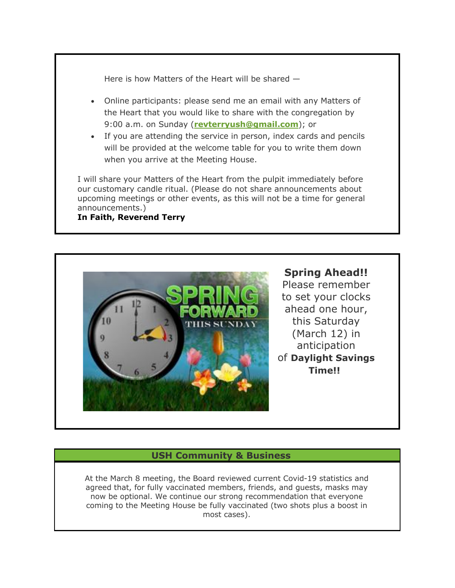Here is how Matters of the Heart will be shared —

- Online participants: please send me an email with any Matters of the Heart that you would like to share with the congregation by 9:00 a.m. on Sunday (**revterryush@gmail.com**); or
- If you are attending the service in person, index cards and pencils will be provided at the welcome table for you to write them down when you arrive at the Meeting House.

I will share your Matters of the Heart from the pulpit immediately before our customary candle ritual. (Please do not share announcements about upcoming meetings or other events, as this will not be a time for general announcements.)

#### **In Faith, Reverend Terry**



**Spring Ahead!!** Please remember to set your clocks ahead one hour, this Saturday (March 12) in anticipation of **Daylight Savings Time!!**

#### **USH Community & Business**

At the March 8 meeting, the Board reviewed current Covid-19 statistics and agreed that, for fully vaccinated members, friends, and guests, masks may now be optional. We continue our strong recommendation that everyone coming to the Meeting House be fully vaccinated (two shots plus a boost in most cases).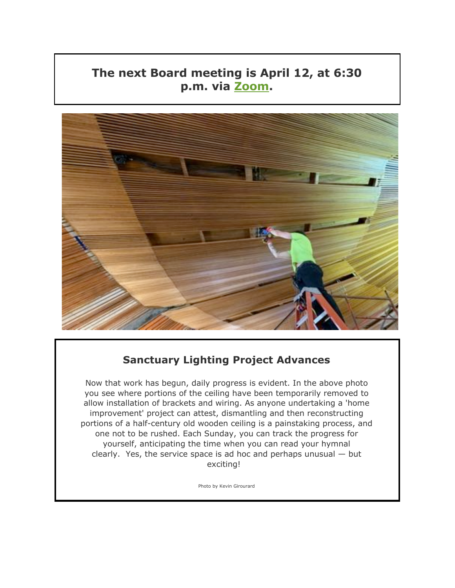## **The next Board meeting is April 12, at 6:30 p.m. via Zoom.**



## **Sanctuary Lighting Project Advances**

Now that work has begun, daily progress is evident. In the above photo you see where portions of the ceiling have been temporarily removed to allow installation of brackets and wiring. As anyone undertaking a 'home improvement' project can attest, dismantling and then reconstructing portions of a half-century old wooden ceiling is a painstaking process, and one not to be rushed. Each Sunday, you can track the progress for yourself, anticipating the time when you can read your hymnal clearly. Yes, the service space is ad hoc and perhaps unusual — but exciting!

Photo by Kevin Girourard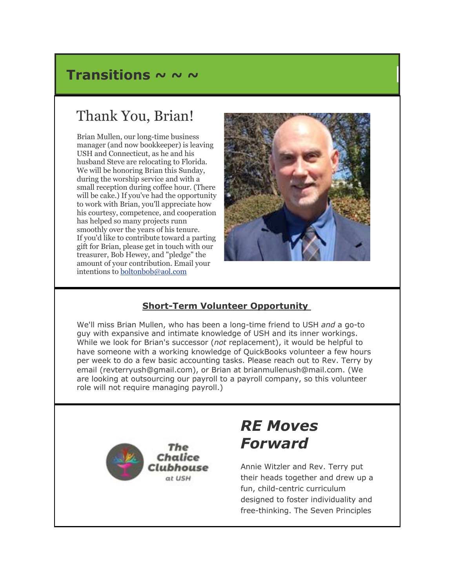## Transitions ~ ~ ~

# Thank You, Brian!

Brian Mullen, our long-time business manager (and now bookkeeper) is leaving USH and Connecticut, as he and his husband Steve are relocating to Florida. We will be honoring Brian this Sunday, during the worship service and with a small reception during coffee hour. (There will be cake.) If you've had the opportunity to work with Brian, you'll appreciate how his courtesy, competence, and cooperation has helped so many projects runn smoothly over the years of his tenure. If you'd like to contribute toward a parting gift for Brian, please get in touch with our treasurer, Bob Hewey, and "pledge" the amount of your contribution. Email your intentions to boltonbob@aol.com



## **Short-Term Volunteer Opportunity**

We'll miss Brian Mullen, who has been a long-time friend to USH *and* a go-to guy with expansive and intimate knowledge of USH and its inner workings. While we look for Brian's successor (*not* replacement), it would be helpful to have someone with a working knowledge of QuickBooks volunteer a few hours per week to do a few basic accounting tasks. Please reach out to Rev. Terry by email (revterryush@gmail.com), or Brian at brianmullenush@mail.com. (We are looking at outsourcing our payroll to a payroll company, so this volunteer role will not require managing payroll.)



# *RE Moves Forward*

Annie Witzler and Rev. Terry put their heads together and drew up a fun, child-centric curriculum designed to foster individuality and free-thinking. The Seven Principles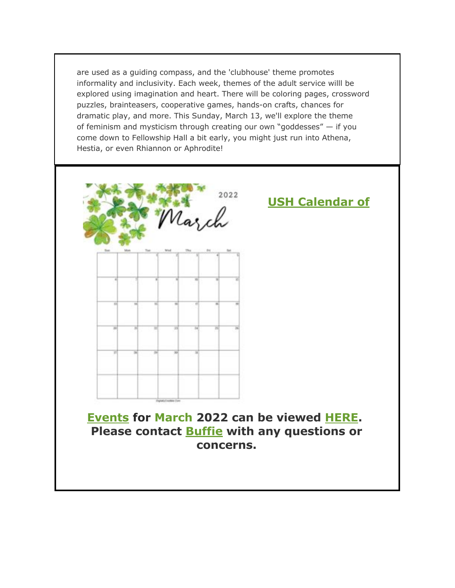are used as a guiding compass, and the 'clubhouse' theme promotes informality and inclusivity. Each week, themes of the adult service willl be explored using imagination and heart. There will be coloring pages, crossword puzzles, brainteasers, cooperative games, hands-on crafts, chances for dramatic play, and more. This Sunday, March 13, we'll explore the theme of feminism and mysticism through creating our own "goddesses" — if you come down to Fellowship Hall a bit early, you might just run into Athena, Hestia, or even Rhiannon or Aphrodite!



**Events for March 2022 can be viewed HERE. Please contact Buffie with any questions or concerns.**

**USH Calendar of**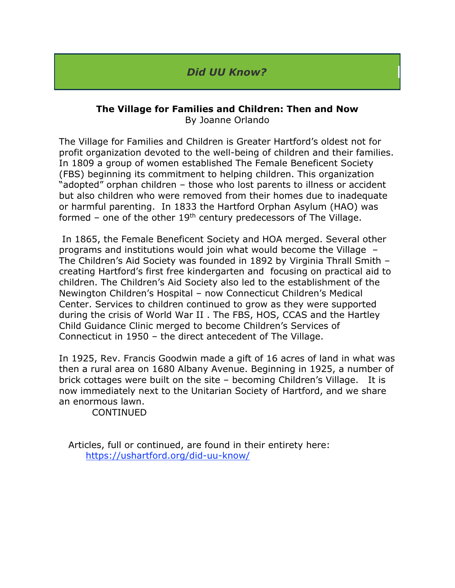## *Did UU Know?*

#### **The Village for Families and Children: Then and Now** By Joanne Orlando

The Village for Families and Children is Greater Hartford's oldest not for profit organization devoted to the well-being of children and their families. In 1809 a group of women established The Female Beneficent Society (FBS) beginning its commitment to helping children. This organization "adopted" orphan children – those who lost parents to illness or accident but also children who were removed from their homes due to inadequate or harmful parenting. In 1833 the Hartford Orphan Asylum (HAO) was formed – one of the other  $19<sup>th</sup>$  century predecessors of The Village.

In 1865, the Female Beneficent Society and HOA merged. Several other programs and institutions would join what would become the Village – The Children's Aid Society was founded in 1892 by Virginia Thrall Smith – creating Hartford's first free kindergarten and focusing on practical aid to children. The Children's Aid Society also led to the establishment of the Newington Children's Hospital – now Connecticut Children's Medical Center. Services to children continued to grow as they were supported during the crisis of World War II . The FBS, HOS, CCAS and the Hartley Child Guidance Clinic merged to become Children's Services of Connecticut in 1950 – the direct antecedent of The Village.

In 1925, Rev. Francis Goodwin made a gift of 16 acres of land in what was then a rural area on 1680 Albany Avenue. Beginning in 1925, a number of brick cottages were built on the site – becoming Children's Village. It is now immediately next to the Unitarian Society of Hartford, and we share an enormous lawn.

CONTINUED

 Articles, full or continued, are found in their entirety here: https://ushartford.org/did-uu-know/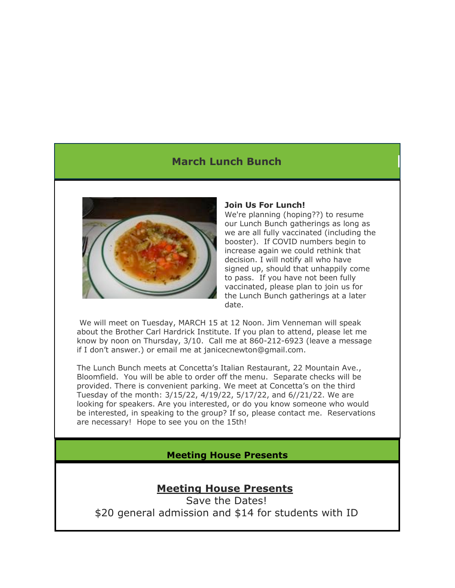## **March Lunch Bunch**



#### **Join Us For Lunch!**

We're planning (hoping??) to resume our Lunch Bunch gatherings as long as we are all fully vaccinated (including the booster). If COVID numbers begin to increase again we could rethink that decision. I will notify all who have signed up, should that unhappily come to pass. If you have not been fully vaccinated, please plan to join us for the Lunch Bunch gatherings at a later date.

We will meet on Tuesday, MARCH 15 at 12 Noon. Jim Venneman will speak about the Brother Carl Hardrick Institute. If you plan to attend, please let me know by noon on Thursday, 3/10. Call me at 860-212-6923 (leave a message if I don't answer.) or email me at janicecnewton@gmail.com.

The Lunch Bunch meets at Concetta's Italian Restaurant, 22 Mountain Ave., Bloomfield. You will be able to order off the menu. Separate checks will be provided. There is convenient parking. We meet at Concetta's on the third Tuesday of the month: 3/15/22, 4/19/22, 5/17/22, and 6//21/22. We are looking for speakers. Are you interested, or do you know someone who would be interested, in speaking to the group? If so, please contact me. Reservations are necessary! Hope to see you on the 15th!

**Meeting House Presents**

## **Meeting House Presents**

Save the Dates! \$20 general admission and \$14 for students with ID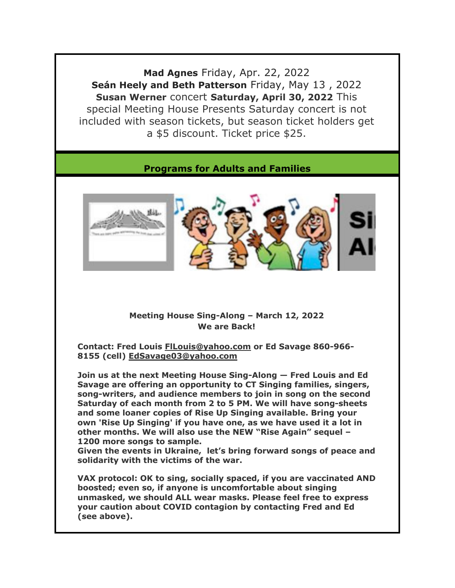**Mad Agnes** Friday, Apr. 22, 2022 **Seán Heely and Beth Patterson** Friday, May 13 , 2022 **Susan Werner** concert **Saturday, April 30, 2022** This special Meeting House Presents Saturday concert is not included with season tickets, but season ticket holders get a \$5 discount. Ticket price \$25.

## **Programs for Adults and Families**



#### **Meeting House Sing-Along – March 12, 2022 We are Back!**

**Contact: Fred Louis FlLouis@yahoo.com or Ed Savage 860-966- 8155 (cell) EdSavage03@yahoo.com**

**Join us at the next Meeting House Sing-Along — Fred Louis and Ed Savage are offering an opportunity to CT Singing families, singers, song-writers, and audience members to join in song on the second Saturday of each month from 2 to 5 PM. We will have song-sheets and some loaner copies of Rise Up Singing available. Bring your own 'Rise Up Singing' if you have one, as we have used it a lot in other months. We will also use the NEW "Rise Again" sequel – 1200 more songs to sample.**

**Given the events in Ukraine, let's bring forward songs of peace and solidarity with the victims of the war.**

**VAX protocol: OK to sing, socially spaced, if you are vaccinated AND boosted; even so, if anyone is uncomfortable about singing unmasked, we should ALL wear masks. Please feel free to express your caution about COVID contagion by contacting Fred and Ed (see above).**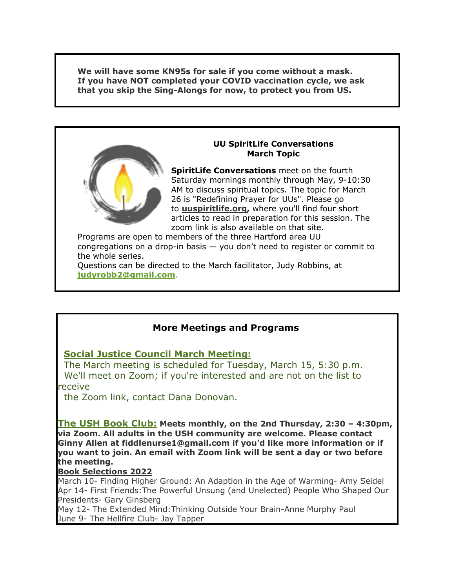**We will have some KN95s for sale if you come without a mask. If you have NOT completed your COVID vaccination cycle, we ask that you skip the Sing-Alongs for now, to protect you from US.**



#### **UU SpiritLife Conversations March Topic**

**SpiritLife Conversations** meet on the fourth Saturday mornings monthly through May, 9-10:30 AM to discuss spiritual topics. The topic for March 26 is "Redefining Prayer for UUs". Please go to **uuspiritlife.org,** where you'll find four short articles to read in preparation for this session. The zoom link is also available on that site.

Programs are open to members of the three Hartford area UU congregations on a drop-in basis — you don't need to register or commit to the whole series.

Questions can be directed to the March facilitator, Judy Robbins, at **judyrobb2@gmail.com**.

## **More Meetings and Programs**

## **Social Justice Council March Meeting:**

The March meeting is scheduled for Tuesday, March 15, 5:30 p.m. We'll meet on Zoom; if you're interested and are not on the list to receive

the Zoom link, contact Dana Donovan.

**The USH Book Club: Meets monthly, on the 2nd Thursday, 2:30 – 4:30pm, via Zoom. All adults in the USH community are welcome. Please contact Ginny Allen at fiddlenurse1@gmail.com if you'd like more information or if you want to join. An email with Zoom link will be sent a day or two before the meeting.**

#### **Book Selections 2022**

March 10- Finding Higher Ground: An Adaption in the Age of Warming- Amy Seidel Apr 14- First Friends:The Powerful Unsung (and Unelected) People Who Shaped Our Presidents- Gary Ginsberg

May 12- The Extended Mind:Thinking Outside Your Brain-Anne Murphy Paul June 9- The Hellfire Club- Jay Tapper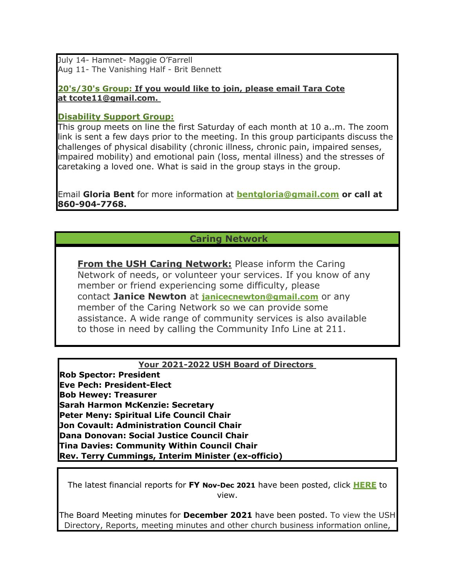July 14- Hamnet- Maggie O'Farrell Aug 11- The Vanishing Half - Brit Bennett

**20's/30's Group: If you would like to join, please email Tara Cote at tcote11@gmail.com.**

#### **Disability Support Group:**

This group meets on line the first Saturday of each month at 10 a..m. The zoom link is sent a few days prior to the meeting. In this group participants discuss the challenges of physical disability (chronic illness, chronic pain, impaired senses, impaired mobility) and emotional pain (loss, mental illness) and the stresses of caretaking a loved one. What is said in the group stays in the group.

Email **Gloria Bent** for more information at **bentgloria@gmail.com or call at 860-904-7768.**

#### **Caring Network**

**From the USH Caring Network:** Please inform the Caring Network of needs, or volunteer your services. If you know of any member or friend experiencing some difficulty, please contact **Janice Newton** at **janicecnewton@gmail.com** or any member of the Caring Network so we can provide some assistance. A wide range of community services is also available to those in need by calling the Community Info Line at 211.

#### **Your 2021-2022 USH Board of Directors**

**Rob Spector: President Eve Pech: President-Elect Bob Hewey: Treasurer Sarah Harmon McKenzie: Secretary Peter Meny: Spiritual Life Council Chair Jon Covault: Administration Council Chair Dana Donovan: Social Justice Council Chair Tina Davies: Community Within Council Chair Rev. Terry Cummings, Interim Minister (ex-officio)**

The latest financial reports for **FY Nov-Dec 2021** have been posted, click **HERE** to view.

The Board Meeting minutes for **December 2021** have been posted. To view the USH Directory, Reports, meeting minutes and other church business information online,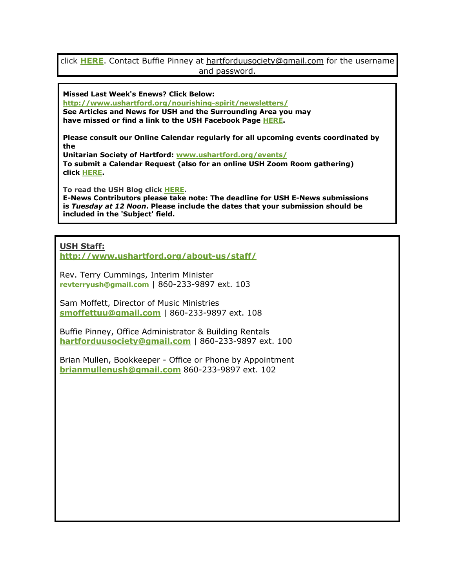#### click **HERE**. Contact Buffie Pinney at hartforduusociety@gmail.com for the username and password.

**Missed Last Week's Enews? Click Below:**

**http://www.ushartford.org/nourishing-spirit/newsletters/ See Articles and News for USH and the Surrounding Area you may have missed or find a link to the USH Facebook Page HERE.**

**Please consult our Online Calendar regularly for all upcoming events coordinated by the**

**Unitarian Society of Hartford: www.ushartford.org/events/ To submit a Calendar Request (also for an online USH Zoom Room gathering) click HERE.**

**To read the USH Blog click HERE.**

**E-News Contributors please take note: The deadline for USH E-News submissions is** *Tuesday at 12 Noon***. Please include the dates that your submission should be included in the 'Subject' field.**

**USH Staff:**

**http://www.ushartford.org/about-us/staff/**

Rev. Terry Cummings, Interim Minister **revterryush@gmail.com** | 860-233-9897 ext. 103

Sam Moffett, Director of Music Ministries **smoffettuu@gmail.com** | 860-233-9897 ext. 108

Buffie Pinney, Office Administrator & Building Rentals **hartforduusociety@gmail.com** | 860-233-9897 ext. 100

Brian Mullen, Bookkeeper - Office or Phone by Appointment **brianmullenush@gmail.com** 860-233-9897 ext. 102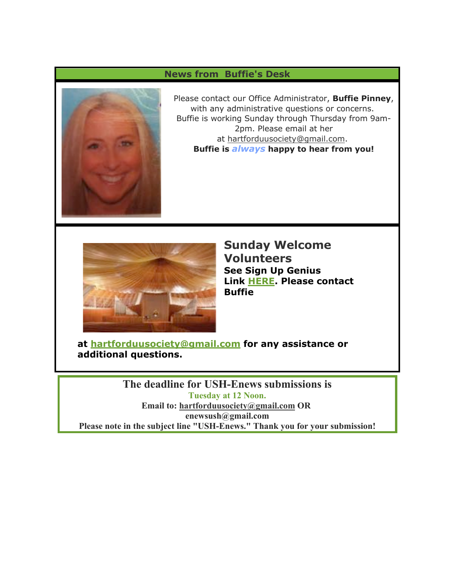## **News from Buffie's Desk**



Please contact our Office Administrator, **Buffie Pinney**, with any administrative questions or concerns. Buffie is working Sunday through Thursday from 9am-2pm. Please email at her at hartforduusociety@gmail.com. **Buffie is** *always* **happy to hear from you!**



**Sunday Welcome Volunteers See Sign Up Genius Link HERE. Please contact Buffie** 

**at hartforduusociety@gmail.com for any assistance or additional questions.**

**The deadline for USH-Enews submissions is Tuesday at 12 Noon. Email to: hartforduusociety@gmail.com OR enewsush@gmail.com Please note in the subject line "USH-Enews." Thank you for your submission!**